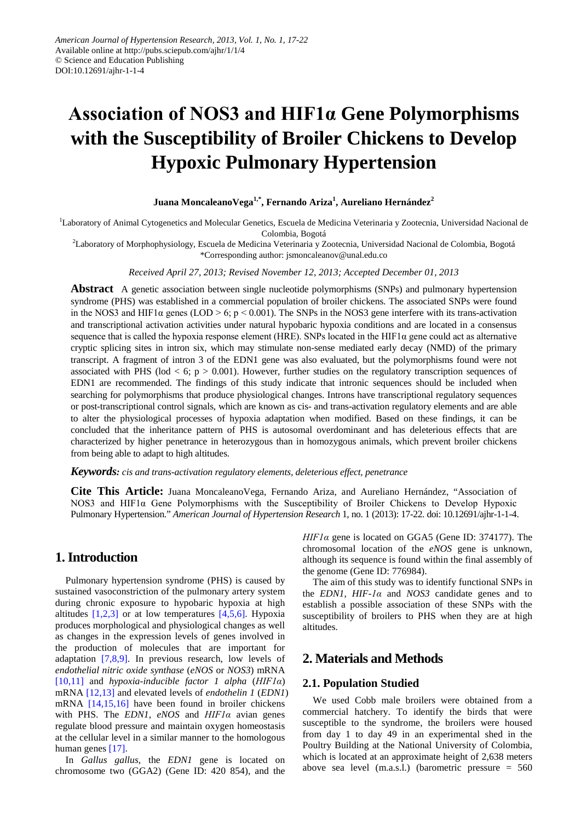# **Association of NOS3 and HIF1α Gene Polymorphisms with the Susceptibility of Broiler Chickens to Develop Hypoxic Pulmonary Hypertension**

# **Juana MoncaleanoVega1,\* , Fernando Ariza<sup>1</sup> , Aureliano Hernández<sup>2</sup>**

<sup>1</sup>Laboratory of Animal Cytogenetics and Molecular Genetics, Escuela de Medicina Veterinaria y Zootecnia, Universidad Nacional de Colombia, Bogotá

2 Laboratory of Morphophysiology, Escuela de Medicina Veterinaria y Zootecnia, Universidad Nacional de Colombia, Bogotá \*Corresponding author[: jsmoncaleanov@unal.edu.co](mailto:jsmoncaleanov@unal.edu.co)

*Received April 27, 2013; Revised November 12, 2013; Accepted December 01, 2013*

**Abstract** A genetic association between single nucleotide polymorphisms (SNPs) and pulmonary hypertension syndrome (PHS) was established in a commercial population of broiler chickens. The associated SNPs were found in the NOS3 and HIF1 $\alpha$  genes (LOD > 6; p < 0.001). The SNPs in the NOS3 gene interfere with its trans-activation and transcriptional activation activities under natural hypobaric hypoxia conditions and are located in a consensus sequence that is called the hypoxia response element (HRE). SNPs located in the HIF1 $\alpha$  gene could act as alternative cryptic splicing sites in intron six, which may stimulate non-sense mediated early decay (NMD) of the primary transcript. A fragment of intron 3 of the EDN1 gene was also evaluated, but the polymorphisms found were not associated with PHS ( $\text{lod} < 6$ ;  $p > 0.001$ ). However, further studies on the regulatory transcription sequences of EDN1 are recommended. The findings of this study indicate that intronic sequences should be included when searching for polymorphisms that produce physiological changes. Introns have transcriptional regulatory sequences or post-transcriptional control signals, which are known as cis- and trans-activation regulatory elements and are able to alter the physiological processes of hypoxia adaptation when modified. Based on these findings, it can be concluded that the inheritance pattern of PHS is autosomal overdominant and has deleterious effects that are characterized by higher penetrance in heterozygous than in homozygous animals, which prevent broiler chickens from being able to adapt to high altitudes.

*Keywords: cis and trans-activation regulatory elements, deleterious effect, penetrance*

**Cite This Article:** Juana MoncaleanoVega, Fernando Ariza, and Aureliano Hernández, "Association of NOS3 and HIF1α Gene Polymorphisms with the Susceptibility of Broiler Chickens to Develop Hypoxic Pulmonary Hypertension." *American Journal of Hypertension Research* 1, no. 1 (2013): 17-22. doi: 10.12691/ajhr-1-1-4.

# **1. Introduction**

Pulmonary hypertension syndrome (PHS) is caused by sustained vasoconstriction of the pulmonary artery system during chronic exposure to hypobaric hypoxia at high altitudes  $[1,2,3]$  or at low temperatures  $[4,5,6]$ . Hypoxia produces morphological and physiological changes as well as changes in the expression levels of genes involved in the production of molecules that are important for adaptation [\[7,8,9\].](#page-4-2) In previous research, low levels of *endothelial nitric oxide synthase* (*eNOS* or *NOS3*) mRNA [\[10,11\]](#page-4-3) and *hypoxia-inducible factor 1 alpha* (*HIF1α*) mRNA [\[12,13\]](#page-4-4) and elevated levels of *endothelin 1* (*EDN1*) mRNA [\[14,15,16\]](#page-4-5) have been found in broiler chickens with PHS. The *EDN1*, *eNOS* and *HIF1α* avian genes regulate blood pressure and maintain oxygen homeostasis at the cellular level in a similar manner to the homologous human genes [\[17\].](#page-4-6)

In *Gallus gallus*, the *EDN1* gene is located on chromosome two (GGA2) (Gene ID: 420 854), and the *HIF1α* gene is located on GGA5 (Gene ID: 374177). The chromosomal location of the *eNOS* gene is unknown, although its sequence is found within the final assembly of the genome (Gene ID: 776984).

The aim of this study was to identify functional SNPs in the *EDN1*, *HIF-1α* and *NOS3* candidate genes and to establish a possible association of these SNPs with the susceptibility of broilers to PHS when they are at high altitudes.

# **2. Materials and Methods**

#### **2.1. Population Studied**

We used Cobb male broilers were obtained from a commercial hatchery. To identify the birds that were susceptible to the syndrome, the broilers were housed from day 1 to day 49 in an experimental shed in the Poultry Building at the National University of Colombia, which is located at an approximate height of 2,638 meters above sea level (m.a.s.l.) (barometric pressure = 560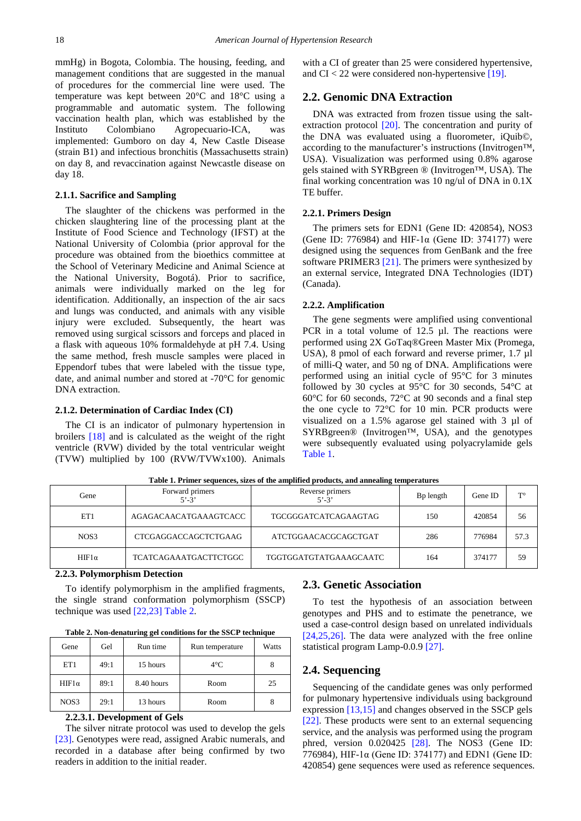mmHg) in Bogota, Colombia. The housing, feeding, and management conditions that are suggested in the manual of procedures for the commercial line were used. The temperature was kept between 20°C and 18°C using a programmable and automatic system. The following vaccination health plan, which was established by the Instituto Colombiano Agropecuario-ICA, was implemented: Gumboro on day 4, New Castle Disease (strain B1) and infectious bronchitis (Massachusetts strain) on day 8, and revaccination against Newcastle disease on day 18.

#### **2.1.1. Sacrifice and Sampling**

The slaughter of the chickens was performed in the chicken slaughtering line of the processing plant at the Institute of Food Science and Technology (IFST) at the National University of Colombia (prior approval for the procedure was obtained from the bioethics committee at the School of Veterinary Medicine and Animal Science at the National University, Bogotá). Prior to sacrifice, animals were individually marked on the leg for identification. Additionally, an inspection of the air sacs and lungs was conducted, and animals with any visible injury were excluded. Subsequently, the heart was removed using surgical scissors and forceps and placed in a flask with aqueous 10% formaldehyde at pH 7.4. Using the same method, fresh muscle samples were placed in Eppendorf tubes that were labeled with the tissue type, date, and animal number and stored at -70°C for genomic DNA extraction.

#### **2.1.2. Determination of Cardiac Index (CI)**

The CI is an indicator of pulmonary hypertension in broilers [\[18\]](#page-4-7) and is calculated as the weight of the right ventricle (RVW) divided by the total ventricular weight (TVW) multiplied by 100 (RVW/TVWx100). Animals with a CI of greater than 25 were considered hypertensive, and  $CI < 22$  were considered non-hypertensive [\[19\].](#page-4-8)

# **2.2. Genomic DNA Extraction**

DNA was extracted from frozen tissue using the saltextraction protocol [\[20\].](#page-4-9) The concentration and purity of the DNA was evaluated using a fluorometer, iQuib©, according to the manufacturer's instructions (Invitrogen™, USA). Visualization was performed using 0.8% agarose gels stained with SYRBgreen ® (Invitrogen™, USA). The final working concentration was 10 ng/ul of DNA in 0.1X TE buffer.

#### **2.2.1. Primers Design**

The primers sets for EDN1 (Gene ID: 420854), NOS3 (Gene ID: 776984) and HIF-1α (Gene ID: 374177) were designed using the sequences from GenBank and the free software PRIMER3 [\[21\].](#page-4-10) The primers were synthesized by an external service, Integrated DNA Technologies (IDT) (Canada).

#### **2.2.2. Amplification**

The gene segments were amplified using conventional PCR in a total volume of 12.5 µl. The reactions were performed using 2X GoTaq®Green Master Mix (Promega, USA), 8 pmol of each forward and reverse primer, 1.7  $\mu$ l of milli-Q water, and 50 ng of DNA. Amplifications were performed using an initial cycle of 95°C for 3 minutes followed by 30 cycles at 95°C for 30 seconds, 54°C at 60°C for 60 seconds, 72°C at 90 seconds and a final step the one cycle to 72°C for 10 min. PCR products were visualized on a 1.5% agarose gel stained with 3 µl of SYRBgreen® (Invitrogen™, USA), and the genotypes were subsequently evaluated using polyacrylamide gels [Table 1.](#page-1-0)

<span id="page-1-0"></span>

| Gene         | Forward primers<br>$5' - 3'$ | Reverse primers<br>$5' - 3'$ | B <sub>p</sub> length | Gene ID | $T^{\circ}$ |
|--------------|------------------------------|------------------------------|-----------------------|---------|-------------|
| ET1          | AGAGACAACATGAAAGTCACC        | TGCGGGATCATCAGAAGTAG         | 150                   | 420854  | 56          |
| NOS3         | CTCGAGGACCAGCTCTGAAG         | ATCTGGAACACGCAGCTGAT         | 286                   | 776984  | 57.3        |
| $HIF1\alpha$ | <b>TCATCAGAAATGACTTCTGGC</b> | TGGTGGATGTATGAAAGCAATC       | 164                   | 374177  | 59          |

**Table 1. Primer sequences, sizes of the amplified products, and annealing temperatures**

**2.2.3. Polymorphism Detection**

To identify polymorphism in the amplified fragments, the single strand conformation polymorphism (SSCP) technique was used [\[22,23\]](#page-4-11) [Table 2.](#page-1-1)

| Table 2. Non-denaturing gel conditions for the SSCP technique |  |  |
|---------------------------------------------------------------|--|--|
|---------------------------------------------------------------|--|--|

<span id="page-1-1"></span>

| Gene         | Gel  | Run time   | Run temperature | Watts |
|--------------|------|------------|-----------------|-------|
| ET1          | 49:1 | 15 hours   | $4^{\circ}$ C   |       |
| $HIF1\alpha$ | 89:1 | 8.40 hours | Room            | 25    |
| NOS3         | 29:1 | 13 hours   | Room            |       |

# **2.2.3.1. Development of Gels**

The silver nitrate protocol was used to develop the gels [\[23\].](#page-4-12) Genotypes were read, assigned Arabic numerals, and recorded in a database after being confirmed by two readers in addition to the initial reader.

### **2.3. Genetic Association**

To test the hypothesis of an association between genotypes and PHS and to estimate the penetrance, we used a case-control design based on unrelated individuals [\[24,25,26\].](#page-4-13) The data were analyzed with the free online statistical program Lamp-0.0.9 [\[27\].](#page-4-14)

# **2.4. Sequencing**

Sequencing of the candidate genes was only performed for pulmonary hypertensive individuals using background expression [\[13,15\]](#page-4-15) and changes observed in the SSCP gels [\[22\].](#page-4-11) These products were sent to an external sequencing service, and the analysis was performed using the program phred, version 0.020425 [\[28\].](#page-4-16) The NOS3 (Gene ID: 776984), HIF-1α (Gene ID: 374177) and EDN1 (Gene ID: 420854) gene sequences were used as reference sequences.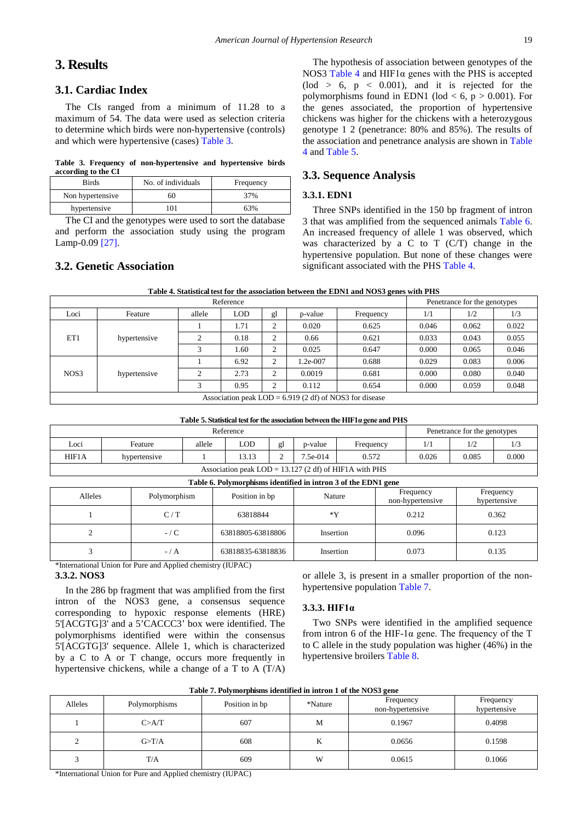# **3. Results**

# **3.1. Cardiac Index**

The CIs ranged from a minimum of 11.28 to a maximum of 54. The data were used as selection criteria to determine which birds were non-hypertensive (controls) and which were hypertensive (cases) [Table 3.](#page-2-0)

**Table 3. Frequency of non-hypertensive and hypertensive birds according to the CI**

<span id="page-2-0"></span>

| Birds            | No. of individuals | Frequency |
|------------------|--------------------|-----------|
| Non hypertensive | 60                 | 37%       |
| hypertensive     | 101                | 63%       |
|                  |                    |           |

The CI and the genotypes were used to sort the database and perform the association study using the program Lamp-0.09 [\[27\].](#page-4-14)

# **3.2. Genetic Association**

The hypothesis of association between genotypes of the NOS3 [Table 4](#page-2-1) and HIF1α genes with the PHS is accepted  $(\text{lod} > 6, p < 0.001)$ , and it is rejected for the polymorphisms found in EDN1 (lod  $<$  6, p  $>$  0.001). For the genes associated, the proportion of hypertensive chickens was higher for the chickens with a heterozygous genotype 1 2 (penetrance: 80% and 85%). The results of the association and penetrance analysis are shown in [Table](#page-2-1)  [4](#page-2-1) an[d Table 5.](#page-2-2)

# **3.3. Sequence Analysis**

### **3.3.1. EDN1**

Three SNPs identified in the 150 bp fragment of intron 3 that was amplified from the sequenced animals [Table 6.](#page-2-3) An increased frequency of allele 1 was observed, which was characterized by a C to T  $(C/T)$  change in the hypertensive population. But none of these changes were significant associated with the PHS [Table 4.](#page-2-1)

| Table 4. Statistical test for the association between the EDN1 and NOS3 genes with PHS |  |
|----------------------------------------------------------------------------------------|--|
|----------------------------------------------------------------------------------------|--|

<span id="page-2-1"></span>

|      | Reference    |        |            |    |            |                                                           |       | Penetrance for the genotypes |       |
|------|--------------|--------|------------|----|------------|-----------------------------------------------------------|-------|------------------------------|-------|
| Loci | Feature      | allele | <b>LOD</b> | gl | p-value    | Frequency                                                 | 1/1   | 1/2                          | 1/3   |
|      |              |        | 1.71       | 2  | 0.020      | 0.625                                                     | 0.046 | 0.062                        | 0.022 |
| ET1  | hypertensive |        | 0.18       | 2  | 0.66       | 0.621                                                     | 0.033 | 0.043                        | 0.055 |
|      |              |        | . 60       | 2  | 0.025      | 0.647                                                     | 0.000 | 0.065                        | 0.046 |
|      | hypertensive |        | 6.92       | 2  | $1.2e-007$ | 0.688                                                     | 0.029 | 0.083                        | 0.006 |
| NOS3 |              |        | 2.73       | 2  | 0.0019     | 0.681                                                     | 0.000 | 0.080                        | 0.040 |
|      |              |        | 0.95       | 2  | 0.112      | 0.654                                                     | 0.000 | 0.059                        | 0.048 |
|      |              |        |            |    |            | Association peak LOD = $6.919$ (2 df) of NOS3 for disease |       |                              |       |

|  |  |  |  |  |  |  |  | Table 5. Statistical test for the association between the HIF1a gene and PHS |  |  |  |  |  |
|--|--|--|--|--|--|--|--|------------------------------------------------------------------------------|--|--|--|--|--|
|--|--|--|--|--|--|--|--|------------------------------------------------------------------------------|--|--|--|--|--|

<span id="page-2-2"></span>

|                                                                               | Reference                                                             |  |  |  |  |  |  | Penetrance for the genotypes |  |  |
|-------------------------------------------------------------------------------|-----------------------------------------------------------------------|--|--|--|--|--|--|------------------------------|--|--|
| Loci<br>LOD.<br>allele<br>1/3<br>Feature<br>Frequency<br>p-value<br>ջl<br>1/2 |                                                                       |  |  |  |  |  |  |                              |  |  |
| HIF1A                                                                         | 0.026<br>0.085<br>7.5e-014<br>0.000<br>13.13<br>0.572<br>hypertensive |  |  |  |  |  |  |                              |  |  |
| Association peak $LOD = 13.127$ (2 df) of HIF1A with PHS                      |                                                                       |  |  |  |  |  |  |                              |  |  |

<span id="page-2-3"></span>

| Table 6. Polymorphisms identified in intron 3 of the EDN1 gene |         |                   |           |                               |                           |  |  |  |  |  |  |  |
|----------------------------------------------------------------|---------|-------------------|-----------|-------------------------------|---------------------------|--|--|--|--|--|--|--|
| Alleles<br>Polymorphism                                        |         | Position in bp    | Nature    | Frequency<br>non-hypertensive | Frequency<br>hypertensive |  |  |  |  |  |  |  |
|                                                                | C/T     | 63818844          | *Y        | 0.212                         | 0.362                     |  |  |  |  |  |  |  |
|                                                                | $-$ / C | 63818805-63818806 | Insertion | 0.096                         | 0.123                     |  |  |  |  |  |  |  |
|                                                                | $-/A$   | 63818835-63818836 | Insertion | 0.073                         | 0.135                     |  |  |  |  |  |  |  |

\*International Union for Pure and Applied chemistry (IUPAC)

# **3.3.2. NOS3**

In the 286 bp fragment that was amplified from the first intron of the NOS3 gene, a consensus sequence corresponding to hypoxic response elements (HRE) 5'[ACGTG]3' and a 5'CACCC3' box were identified. The polymorphisms identified were within the consensus 5'[ACGTG]3' sequence. Allele 1, which is characterized by a C to A or T change, occurs more frequently in hypertensive chickens, while a change of a T to A (T/A)

or allele 3, is present in a smaller proportion of the nonhypertensive population [Table 7.](#page-2-4)

#### **3.3.3. HIF1α**

Two SNPs were identified in the amplified sequence from intron 6 of the HIF-1 $\alpha$  gene. The frequency of the T to C allele in the study population was higher (46%) in the hypertensive broilers [Table 8.](#page-3-0)

<span id="page-2-4"></span>

|         | Twee '' I capitally received in the on a cover of the store gene |                |         |                               |                           |  |  |  |  |  |  |  |
|---------|------------------------------------------------------------------|----------------|---------|-------------------------------|---------------------------|--|--|--|--|--|--|--|
| Alleles | Polymorphisms                                                    | Position in bp | *Nature | Frequency<br>non-hypertensive | Frequency<br>hypertensive |  |  |  |  |  |  |  |
|         | C > A/T                                                          | 607            | M       | 0.1967                        | 0.4098                    |  |  |  |  |  |  |  |
| $\sim$  | G>T/A                                                            | 608            | K       | 0.0656                        | 0.1598                    |  |  |  |  |  |  |  |
|         | T/A                                                              | 609            | W       | 0.0615                        | 0.1066                    |  |  |  |  |  |  |  |

**Table 7. Polymorphisms identified in intron 1 of the NOS3 gene**

\*International Union for Pure and Applied chemistry (IUPAC)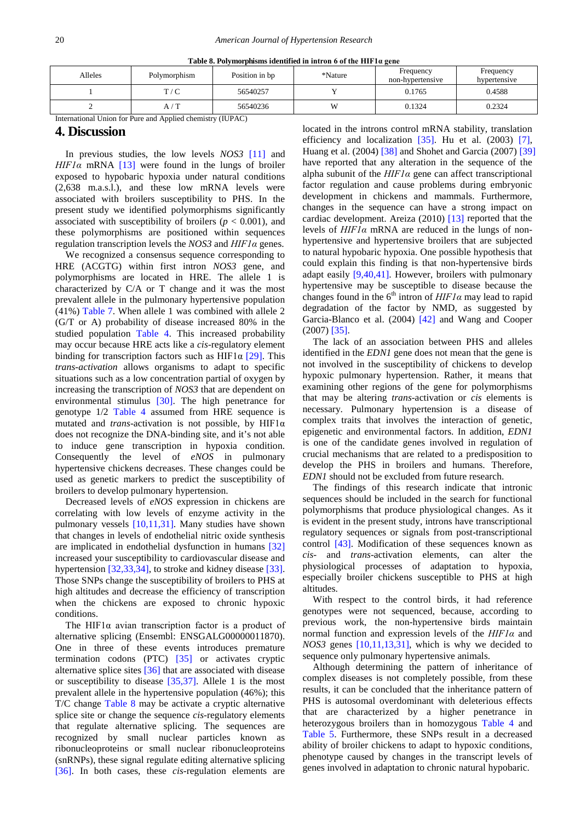<span id="page-3-0"></span>

| $-$ 0.000 $-$ 0.1, 2000 particles to 0.000 0.000 0.000 0.000 0.000 0.000 0.000 0.000 0.000 0.000 0.000 0.000 0.000 0.000 0.000 0.000 0.000 0.000 0.000 0.000 0.000 0.000 0.000 0.000 0.000 0.000 0.000 0.000 0.000 0.000 0.00 |              |                |         |                               |                           |  |  |  |  |  |  |  |
|-------------------------------------------------------------------------------------------------------------------------------------------------------------------------------------------------------------------------------|--------------|----------------|---------|-------------------------------|---------------------------|--|--|--|--|--|--|--|
| Alleles                                                                                                                                                                                                                       | Polymorphism | Position in bp | *Nature | Frequency<br>non-hypertensive | Frequency<br>hypertensive |  |  |  |  |  |  |  |
|                                                                                                                                                                                                                               | T/C          | 56540257       |         | 0.1765                        | 0.4588                    |  |  |  |  |  |  |  |
|                                                                                                                                                                                                                               | / T<br>A /   | 56540236       | 117     | 0.1324                        | 0.2324                    |  |  |  |  |  |  |  |

**Table 8. Polymorphisms identified in intron 6 of the HIF1α gene**

International Union for Pure and Applied chemistry (IUPAC)

#### **4. Discussion**

In previous studies, the low levels *NOS3* [\[11\]](#page-4-17) and *HIF1α* mRNA [\[13\]](#page-4-15) were found in the lungs of broiler exposed to hypobaric hypoxia under natural conditions (2,638 m.a.s.l.), and these low mRNA levels were associated with broilers susceptibility to PHS. In the present study we identified polymorphisms significantly associated with susceptibility of broilers ( $p < 0.001$ ), and these polymorphisms are positioned within sequences regulation transcription levels the *NOS3* and *HIF1α* genes.

We recognized a consensus sequence corresponding to HRE (ACGTG) within first intron *NOS3* gene, and polymorphisms are located in HRE. The allele 1 is characterized by C/A or T change and it was the most prevalent allele in the pulmonary hypertensive population (41%) [Table 7.](#page-2-4) When allele 1 was combined with allele 2 (G/T or A) probability of disease increased 80% in the studied population [Table 4.](#page-2-1) This increased probability may occur because HRE acts like a *cis*-regulatory element binding for transcription factors such as HIF1 $\alpha$  [\[29\].](#page-4-18) This *trans-activation* allows organisms to adapt to specific situations such as a low concentration partial of oxygen by increasing the transcription of *NOS3* that are dependent on environmental stimulus [\[30\].](#page-4-19) The high penetrance for genotype 1/2 [Table 4](#page-2-1) assumed from HRE sequence is mutated and *trans*-activation is not possible, by HIF1α does not recognize the DNA-binding site, and it's not able to induce gene transcription in hypoxia condition. Consequently the level of *eNOS* in pulmonary hypertensive chickens decreases. These changes could be used as genetic markers to predict the susceptibility of broilers to develop pulmonary hypertension.

Decreased levels of *eNOS* expression in chickens are correlating with low levels of enzyme activity in the pulmonary vessels [\[10,11,31\].](#page-4-3) Many studies have shown that changes in levels of endothelial nitric oxide synthesis are implicated in endothelial dysfunction in humans [\[32\]](#page-4-20) increased your susceptibility to cardiovascular disease and hypertension [\[32,33,34\],](#page-4-20) to stroke and kidney disease [\[33\].](#page-4-21) Those SNPs change the susceptibility of broilers to PHS at high altitudes and decrease the efficiency of transcription when the chickens are exposed to chronic hypoxic conditions.

The HIF1 $\alpha$  avian transcription factor is a product of alternative splicing (Ensembl: ENSGALG00000011870). One in three of these events introduces premature termination codons (PTC) [\[35\]](#page-4-22) or activates cryptic alternative splice sites [\[36\]](#page-5-0) that are associated with disease or susceptibility to disease [\[35,37\].](#page-4-22) Allele 1 is the most prevalent allele in the hypertensive population (46%); this T/C change [Table 8](#page-3-0) may be activate a cryptic alternative splice site or change the sequence *cis-*regulatory elements that regulate alternative splicing. The sequences are recognized by small nuclear particles known as ribonucleoproteins or small nuclear ribonucleoproteins (snRNPs), these signal regulate editing alternative splicing [\[36\].](#page-5-0) In both cases, these *cis-*regulation elements are

located in the introns control mRNA stability, translation efficiency and localization  $[35]$ . Hu et al. (2003) [\[7\],](#page-4-2) Huang et al. (2004) [\[38\]](#page-5-1) and Shohet and Garcia (2007) [\[39\]](#page-5-2) have reported that any alteration in the sequence of the alpha subunit of the *HIF1α* gene can affect transcriptional factor regulation and cause problems during embryonic development in chickens and mammals. Furthermore, changes in the sequence can have a strong impact on cardiac development. Areiza (2010) [\[13\]](#page-4-15) reported that the levels of *HIF1α* mRNA are reduced in the lungs of nonhypertensive and hypertensive broilers that are subjected to natural hypobaric hypoxia. One possible hypothesis that could explain this finding is that non-hypertensive birds adapt easily [\[9,40,41\].](#page-4-23) However, broilers with pulmonary hypertensive may be susceptible to disease because the changes found in the  $6<sup>th</sup>$  intron of  $HIF1\alpha$  may lead to rapid degradation of the factor by NMD, as suggested by Garcia-Blanco et al. (2004) [\[42\]](#page-5-3) and Wang and Cooper (2007) [\[35\].](#page-4-22)

The lack of an association between PHS and alleles identified in the *EDN1* gene does not mean that the gene is not involved in the susceptibility of chickens to develop hypoxic pulmonary hypertension. Rather, it means that examining other regions of the gene for polymorphisms that may be altering *trans*-activation or *cis* elements is necessary. Pulmonary hypertension is a disease of complex traits that involves the interaction of genetic, epigenetic and environmental factors. In addition, *EDN1*  is one of the candidate genes involved in regulation of crucial mechanisms that are related to a predisposition to develop the PHS in broilers and humans. Therefore, *EDN1* should not be excluded from future research.

The findings of this research indicate that intronic sequences should be included in the search for functional polymorphisms that produce physiological changes. As it is evident in the present study, introns have transcriptional regulatory sequences or signals from post-transcriptional control [\[43\].](#page-5-4) Modification of these sequences known as *cis*- and *trans*-activation elements, can alter the physiological processes of adaptation to hypoxia, especially broiler chickens susceptible to PHS at high altitudes.

With respect to the control birds, it had reference genotypes were not sequenced, because, according to previous work, the non-hypertensive birds maintain normal function and expression levels of the *HIF1α* and *NOS3* genes [\[10,11,13,31\],](#page-4-3) which is why we decided to sequence only pulmonary hypertensive animals.

Although determining the pattern of inheritance of complex diseases is not completely possible, from these results, it can be concluded that the inheritance pattern of PHS is autosomal overdominant with deleterious effects that are characterized by a higher penetrance in heterozygous broilers than in homozygous [Table 4](#page-2-1) and [Table 5.](#page-2-2) Furthermore, these SNPs result in a decreased ability of broiler chickens to adapt to hypoxic conditions, phenotype caused by changes in the transcript levels of genes involved in adaptation to chronic natural hypobaric.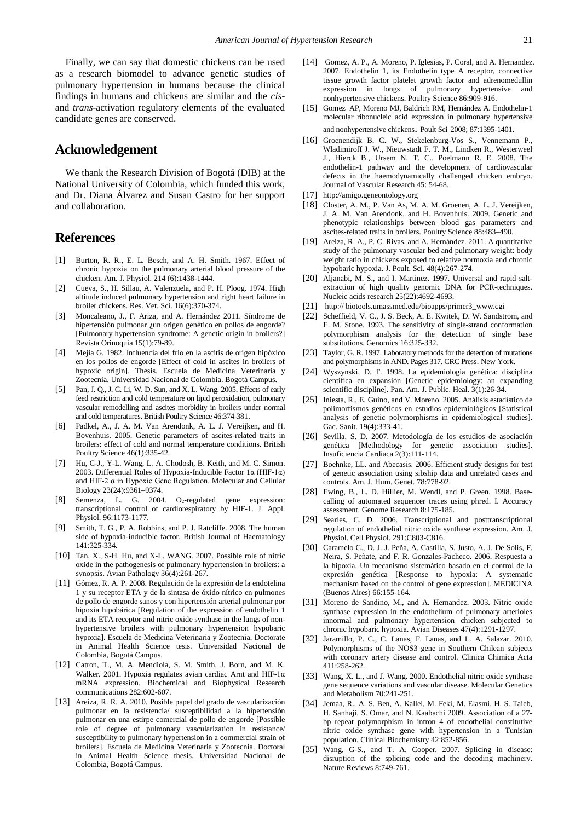Finally, we can say that domestic chickens can be used as a research biomodel to advance genetic studies of pulmonary hypertension in humans because the clinical findings in humans and chickens are similar and the *cis*and *trans*-activation regulatory elements of the evaluated candidate genes are conserved.

# **Acknowledgement**

We thank the Research Division of Bogotá (DIB) at the National University of Colombia, which funded this work, and Dr. Diana Álvarez and Susan Castro for her support and collaboration.

# **References**

- <span id="page-4-0"></span>[1] Burton, R. R., E. L. Besch, and A. H. Smith. 1967. Effect of chronic hypoxia on the pulmonary arterial blood pressure of the chicken. Am. J. Physiol. 214 (6):1438-1444.
- [2] Cueva, S., H. Sillau, A. Valenzuela, and P. H. Ploog. 1974. High altitude induced pulmonary hypertension and right heart failure in broiler chickens. Res. Vet. Sci*.* 16(6):370-374.
- [3] Moncaleano, J., F. Ariza, and A. Hernández 2011. Síndrome de hipertensión pulmonar ¿un origen genético en pollos de engorde? [Pulmonary hypertension syndrome: A genetic origin in broilers?] Revista Orinoquia 15(1):79-89.
- <span id="page-4-1"></span>[4] Mejia G. 1982. Influencia del frío en la ascitis de origen hipóxico en los pollos de engorde [Effect of cold in ascites in broilers of hypoxic origin]. Thesis. Escuela de Medicina Veterinaria y Zootecnia. Universidad Nacional de Colombia. Bogotá Campus.
- [5] Pan, J. Q., J. C. Li, W. D. Sun, and X. L. Wang. 2005. Effects of early feed restriction and cold temperature on lipid peroxidation, pulmonary vascular remodelling and ascites morbidity in broilers under normal and cold temperatures. British Poultry Science 46:374-381.
- [6] Padkel, A., J. A. M. Van Arendonk, A. L. J. Vereijken, and H. Bovenhuis. 2005. Genetic parameters of ascites-related traits in broilers: effect of cold and normal temperature conditions. British Poultry Science 46(1):335-42.
- <span id="page-4-2"></span>[7] Hu, C-J., Y-L. Wang, L. A. Chodosh, B. Keith, and M. C. Simon. 2003. Differential Roles of Hypoxia-Inducible Factor 1α (HIF-1α) and HIF-2 α in Hypoxic Gene Regulation. Molecular and Cellular Biology 23(24):9361–9374.
- [8] Semenza, L. G. 2004. O<sub>2</sub>-regulated gene expression: transcriptional control of cardiorespiratory by HIF-1. J. Appl. Physiol. 96:1173-1177.
- <span id="page-4-23"></span>[9] Smith, T. G., P. A. Robbins, and P. J. Ratcliffe. 2008. The human side of hypoxia-inducible factor. British Journal of Haematology 141:325-334.
- <span id="page-4-3"></span>[10] Tan, X., S-H. Hu, and X-L. WANG. 2007. Possible role of nitric oxide in the pathogenesis of pulmonary hypertension in broilers: a synopsis. Avian Pathology 36(4):261-267.
- <span id="page-4-17"></span>[11] Gómez, R. A. P. 2008. Regulación de la expresión de la endotelina 1 y su receptor ETA y de la sintasa de óxido nítrico en pulmones de pollo de engorde sanos y con hipertensión arterial pulmonar por hipoxia hipobárica [Regulation of the expression of endothelin 1 and its ETA receptor and nitric oxide synthase in the lungs of nonhypertensive broilers with pulmonary hypertension hypobaric hypoxia]. Escuela de Medicina Veterinaria y Zootecnia. Doctorate in Animal Health Science tesis. Universidad Nacional de Colombia, Bogotá Campus.
- <span id="page-4-4"></span>[12] Catron, T., M. A. Mendiola, S. M. Smith, J. Born, and M. K. Walker. 2001. Hypoxia regulates avian cardiac Arnt and HIF-1α mRNA expression. Biochemical and Biophysical Research communications 282:602-607.
- <span id="page-4-15"></span>[13] Areiza, R. R. A. 2010. Posible papel del grado de vascularización pulmonar en la resistencia/ susceptibilidad a la hipertensión pulmonar en una estirpe comercial de pollo de engorde [Possible role of degree of pulmonary vascularization in resistance/ susceptibility to pulmonary hypertension in a commercial strain of broilers]. Escuela de Medicina Veterinaria y Zootecnia. Doctoral in Animal Health Science thesis. Universidad Nacional de Colombia, Bogotá Campus.
- <span id="page-4-5"></span>[14] Gomez, A. P., A. Moreno, P. Iglesias, P. Coral, and A. Hernandez. 2007. Endothelin 1, its Endothelin type A receptor, connective tissue growth factor platelet growth factor and adrenomedullin expression in longs of pulmonary hypertensive and nonhypertensive chickens. Poultry Science 86:909-916.
- [15] Gomez AP, Moreno MJ, Baldrich RM, Hernández A. Endothelin-1 molecular ribonucleic acid expression in pulmonary hypertensive
	- and nonhypertensive chickens. Poult Sci 2008; 87:1395-1401.
- [16] Groenendijk B. C. W., Stekelenburg-Vos S., Vennemann P., Wladimiroff J. W., Nieuwstadt F. T. M., Lindken R., Westerweel J., Hierck B., Ursem N. T. C., Poelmann R. E. 2008. The endothelin-1 pathway and the development of cardiovascular defects in the haemodynamically challenged chicken embryo. Journal of Vascular Research 45: 54-68.
- <span id="page-4-6"></span>[17] [http://amigo.geneontology.org](http://amigo.geneontology.org/)
- <span id="page-4-7"></span>[18] Closter, A. M., P. Van As, M. A. M. Groenen, A. L. J. Vereijken, J. A. M. Van Arendonk, and H. Bovenhuis. 2009. Genetic and phenotypic relationships between blood gas parameters and ascites-related traits in broilers. Poultry Science 88:483–490.
- <span id="page-4-8"></span>[19] Areiza, R. A., P. C. Rivas, and A. Hernández. 2011. A quantitative study of the pulmonary vascular bed and pulmonary weight: body weight ratio in chickens exposed to relative normoxia and chronic hypobaric hypoxia. J. Poult. Sci. 48(4):267-274.
- <span id="page-4-9"></span>[20] Aljanabi, M. S., and I. Martinez. 1997. Universal and rapid saltextraction of high quality genomic DNA for PCR-techniques. Nucleic acids research 25(22):4692-4693.
- <span id="page-4-10"></span>[21] http:// biotools.umassmed.edu/bioapps/primer3\_www.cgi
- <span id="page-4-11"></span>[22] Scheffield, V. C., J. S. Beck, A. E. Kwitek, D. W. Sandstrom, and E. M. Stone. 1993. The sensitivity of single-strand conformation polymorphism analysis for the detection of single base substitutions. Genomics 16:325-332.
- <span id="page-4-12"></span>[23] Taylor, G. R. 1997. Laboratory methods for the detection of mutations and polymorphisms in AND. Pages 317. CRC Press. New York.
- <span id="page-4-13"></span>[24] Wyszynski, D. F. 1998. La epidemiología genética: disciplina científica en expansión [Genetic epidemiology: an expanding scientific discipline]. Pan. Am. J. Public. Heal. 3(1):26-34.
- [25] Iniesta, R., E. Guino, and V. Moreno. 2005. Análisis estadístico de polimorfismos genéticos en estudios epidemiológicos [Statistical analysis of genetic polymorphisms in epidemiological studies]. Gac. Sanit. 19(4):333-41.
- [26] Sevilla, S. D. 2007. Metodología de los estudios de asociación genética [Methodology for genetic association studies]. Insuficiencia Cardiaca 2(3):111-114.
- <span id="page-4-14"></span>[27] Boehnke, LL. and Abecasis. 2006. Efficient study designs for test of genetic association using sibship data and unrelated cases and controls. Am. J. Hum. Genet. 78:778-92.
- <span id="page-4-16"></span>[28] Ewing, B., L. D. Hillier, M. Wendl, and P. Green. 1998. Basecalling of automated sequencer traces using phred. I. Accuracy assessment. Genome Research 8:175-185.
- <span id="page-4-18"></span>[29] Searles, C. D. 2006. Transcriptional and posttranscriptional regulation of endothelial nitric oxide synthase expression. Am. J. Physiol. Cell Physiol. 291:C803-C816.
- <span id="page-4-19"></span>[30] Caramelo C., D. J. J. Peña, A. Castilla, S. Justo, A. J. De Solis, F. Neira, S. Peñate, and F. R. Gonzales-Pacheco. 2006. Respuesta a la hipoxia. Un mecanismo sistemático basado en el control de la expresión genética [Response to hypoxia: A systematic mechanism based on the control of gene expression]. MEDICINA (Buenos Aires) 66:155-164.
- [31] Moreno de Sandino, M., and A. Hernandez. 2003. Nitric oxide synthase expression in the endothelium of pulmonary arterioles innormal and pulmonary hypertension chicken subjected to chronic hypobaric hypoxia. Avian Diseases 47(4):1291-1297.
- <span id="page-4-20"></span>[32] Jaramillo, P. C., C. Lanas, F. Lanas, and L. A. Salazar. 2010. Polymorphisms of the NOS3 gene in Southern Chilean subjects with coronary artery disease and control. Clinica Chimica Acta 411:258-262.
- <span id="page-4-21"></span>[33] Wang, X. L., and J. Wang. 2000. Endothelial nitric oxide synthase gene sequence variations and vascular disease. Molecular Genetics and Metabolism 70:241-251.
- [34] Jemaa, R., A. S. Ben, A. Kallel, M. Feki, M. Elasmi, H. S. Taieb, H. Sanhaji, S. Omar, and N. Kaabachi 2009. Association of a 27 bp repeat polymorphism in intron 4 of endothelial constitutive nitric oxide synthase gene with hypertension in a Tunisian population. Clinical Biochemistry 42:852-856.
- <span id="page-4-22"></span>[35] Wang, G-S., and T. A. Cooper. 2007. Splicing in disease: disruption of the splicing code and the decoding machinery. Nature Reviews 8:749-761.